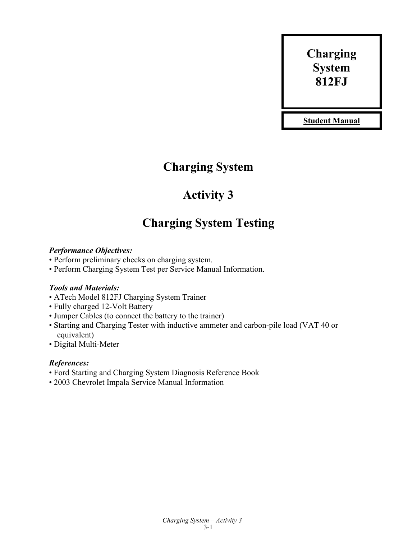# **Charging System 812FJ**

**Student Manual**

# **Charging System**

# **Activity 3**

# **Charging System Testing**

### *Performance Objectives:*

- Perform preliminary checks on charging system.
- Perform Charging System Test per Service Manual Information.

## *Tools and Materials:*

- ATech Model 812FJ Charging System Trainer
- Fully charged 12-Volt Battery
- Jumper Cables (to connect the battery to the trainer)
- Starting and Charging Tester with inductive ammeter and carbon-pile load (VAT 40 or equivalent)
- Digital Multi-Meter

## *References:*

- Ford Starting and Charging System Diagnosis Reference Book
- 2003 Chevrolet Impala Service Manual Information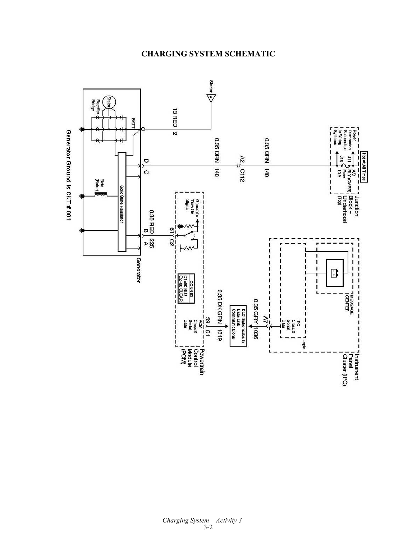

# **CHARGING SYSTEM SCHEMATIC**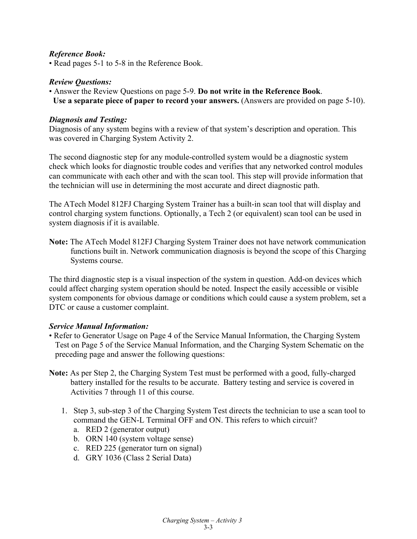#### *Reference Book:*

• Read pages 5-1 to 5-8 in the Reference Book.

#### *Review Questions:*

• Answer the Review Questions on page 5-9. **Do not write in the Reference Book**. **Use a separate piece of paper to record your answers.** (Answers are provided on page 5-10).

#### *Diagnosis and Testing:*

Diagnosis of any system begins with a review of that system's description and operation. This was covered in Charging System Activity 2.

The second diagnostic step for any module-controlled system would be a diagnostic system check which looks for diagnostic trouble codes and verifies that any networked control modules can communicate with each other and with the scan tool. This step will provide information that the technician will use in determining the most accurate and direct diagnostic path.

The ATech Model 812FJ Charging System Trainer has a built-in scan tool that will display and control charging system functions. Optionally, a Tech 2 (or equivalent) scan tool can be used in system diagnosis if it is available.

**Note:** The ATech Model 812FJ Charging System Trainer does not have network communication functions built in. Network communication diagnosis is beyond the scope of this Charging Systems course.

The third diagnostic step is a visual inspection of the system in question. Add-on devices which could affect charging system operation should be noted. Inspect the easily accessible or visible system components for obvious damage or conditions which could cause a system problem, set a DTC or cause a customer complaint.

#### *Service Manual Information:*

- Refer to Generator Usage on Page 4 of the Service Manual Information, the Charging System Test on Page 5 of the Service Manual Information, and the Charging System Schematic on the preceding page and answer the following questions:
- **Note:** As per Step 2, the Charging System Test must be performed with a good, fully-charged battery installed for the results to be accurate. Battery testing and service is covered in Activities 7 through 11 of this course.
	- 1. Step 3, sub-step 3 of the Charging System Test directs the technician to use a scan tool to command the GEN-L Terminal OFF and ON. This refers to which circuit?
		- a. RED 2 (generator output)
		- b. ORN 140 (system voltage sense)
		- c. RED 225 (generator turn on signal)
		- d. GRY 1036 (Class 2 Serial Data)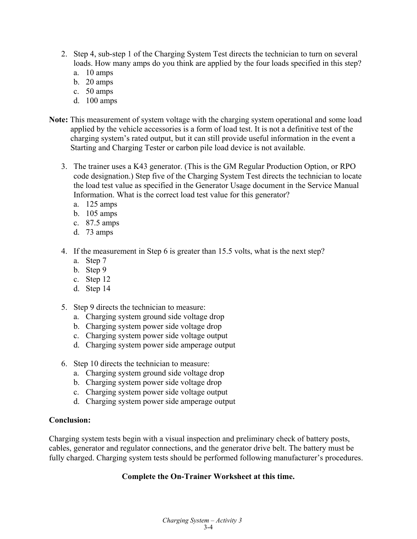- 2. Step 4, sub-step 1 of the Charging System Test directs the technician to turn on several loads. How many amps do you think are applied by the four loads specified in this step?
	- a. 10 amps
	- b. 20 amps
	- c. 50 amps
	- d. 100 amps
- **Note:** This measurement of system voltage with the charging system operational and some load applied by the vehicle accessories is a form of load test. It is not a definitive test of the charging system's rated output, but it can still provide useful information in the event a Starting and Charging Tester or carbon pile load device is not available.
	- 3. The trainer uses a K43 generator. (This is the GM Regular Production Option, or RPO code designation.) Step five of the Charging System Test directs the technician to locate the load test value as specified in the Generator Usage document in the Service Manual Information. What is the correct load test value for this generator?
		- a. 125 amps
		- b. 105 amps
		- c. 87.5 amps
		- d. 73 amps
	- 4. If the measurement in Step 6 is greater than 15.5 volts, what is the next step?
		- a. Step 7
		- b. Step 9
		- c. Step 12
		- d. Step 14
	- 5. Step 9 directs the technician to measure:
		- a. Charging system ground side voltage drop
		- b. Charging system power side voltage drop
		- c. Charging system power side voltage output
		- d. Charging system power side amperage output
	- 6. Step 10 directs the technician to measure:
		- a. Charging system ground side voltage drop
		- b. Charging system power side voltage drop
		- c. Charging system power side voltage output
		- d. Charging system power side amperage output

#### **Conclusion:**

Charging system tests begin with a visual inspection and preliminary check of battery posts, cables, generator and regulator connections, and the generator drive belt. The battery must be fully charged. Charging system tests should be performed following manufacturer's procedures.

### **Complete the On-Trainer Worksheet at this time.**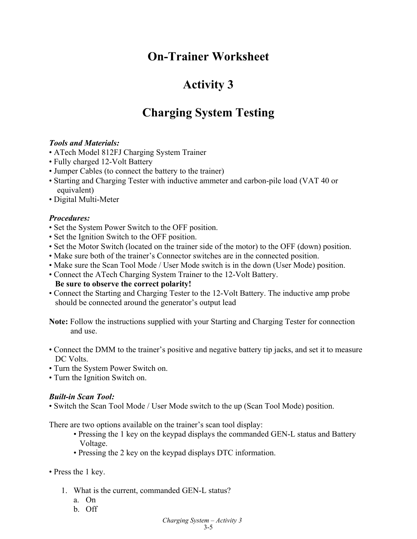# **On-Trainer Worksheet**

# **Activity 3**

# **Charging System Testing**

### *Tools and Materials:*

- ATech Model 812FJ Charging System Trainer
- Fully charged 12-Volt Battery
- Jumper Cables (to connect the battery to the trainer)
- Starting and Charging Tester with inductive ammeter and carbon-pile load (VAT 40 or equivalent)
- Digital Multi-Meter

### *Procedures:*

- Set the System Power Switch to the OFF position.
- Set the Ignition Switch to the OFF position.
- Set the Motor Switch (located on the trainer side of the motor) to the OFF (down) position.
- Make sure both of the trainer's Connector switches are in the connected position.
- Make sure the Scan Tool Mode / User Mode switch is in the down (User Mode) position.
- Connect the ATech Charging System Trainer to the 12-Volt Battery.

### **Be sure to observe the correct polarity!**

• Connect the Starting and Charging Tester to the 12-Volt Battery. The inductive amp probe should be connected around the generator's output lead

**Note:** Follow the instructions supplied with your Starting and Charging Tester for connection and use.

- Connect the DMM to the trainer's positive and negative battery tip jacks, and set it to measure DC Volts.
- Turn the System Power Switch on.
- Turn the Ignition Switch on.

### *Built-in Scan Tool:*

• Switch the Scan Tool Mode / User Mode switch to the up (Scan Tool Mode) position.

There are two options available on the trainer's scan tool display:

- Pressing the 1 key on the keypad displays the commanded GEN-L status and Battery Voltage.
- Pressing the 2 key on the keypad displays DTC information.
- Press the 1 key.
	- 1. What is the current, commanded GEN-L status?
		- a. On
		- b. Off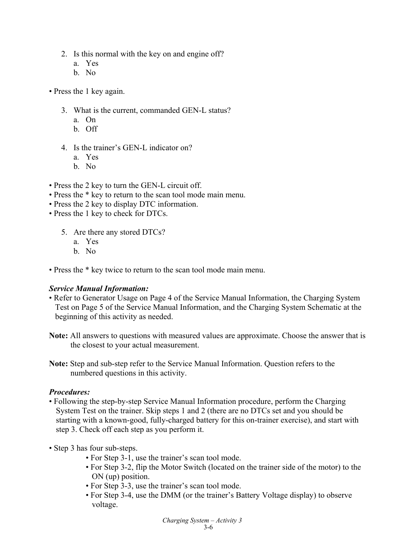- 2. Is this normal with the key on and engine off?
	- a. Yes
	- b. No
- Press the 1 key again.
	- 3. What is the current, commanded GEN-L status?
		- a. On
		- b. Off
	- 4. Is the trainer's GEN-L indicator on?
		- a. Yes
		- b. No
- Press the 2 key to turn the GEN-L circuit off.
- Press the \* key to return to the scan tool mode main menu.
- Press the 2 key to display DTC information.
- Press the 1 key to check for DTCs.
	- 5. Are there any stored DTCs?
		- a. Yes
		- b. No
- Press the \* key twice to return to the scan tool mode main menu.

#### *Service Manual Information:*

- Refer to Generator Usage on Page 4 of the Service Manual Information, the Charging System Test on Page 5 of the Service Manual Information, and the Charging System Schematic at the beginning of this activity as needed.
- **Note:** All answers to questions with measured values are approximate. Choose the answer that is the closest to your actual measurement.
- **Note:** Step and sub-step refer to the Service Manual Information. Question refers to the numbered questions in this activity.

#### *Procedures:*

- Following the step-by-step Service Manual Information procedure, perform the Charging System Test on the trainer. Skip steps 1 and 2 (there are no DTCs set and you should be starting with a known-good, fully-charged battery for this on-trainer exercise), and start with step 3. Check off each step as you perform it.
- Step 3 has four sub-steps.
	- For Step 3-1, use the trainer's scan tool mode.
	- For Step 3-2, flip the Motor Switch (located on the trainer side of the motor) to the ON (up) position.
	- For Step 3-3, use the trainer's scan tool mode.
	- For Step 3-4, use the DMM (or the trainer's Battery Voltage display) to observe voltage.